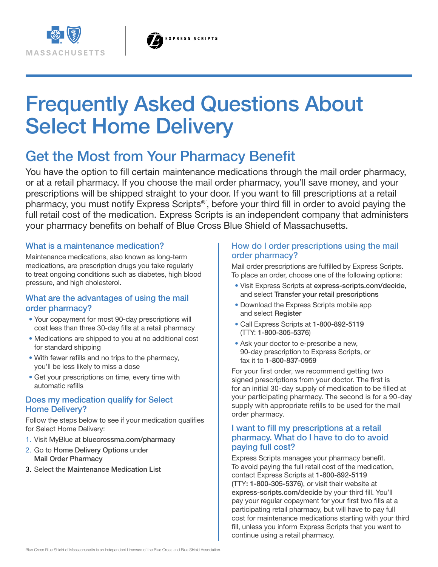

# Frequently Asked Questions About Select Home Delivery

# Get the Most from Your Pharmacy Benefit

You have the option to fill certain maintenance medications through the mail order pharmacy, or at a retail pharmacy. If you choose the mail order pharmacy, you'll save money, and your prescriptions will be shipped straight to your door. If you want to fill prescriptions at a retail pharmacy, you must notify Express Scripts<sup>®</sup>, before your third fill in order to avoid paying the full retail cost of the medication. Express Scripts is an independent company that administers your pharmacy benefits on behalf of Blue Cross Blue Shield of Massachusetts.

#### What is a maintenance medication?

Maintenance medications, also known as long-term medications, are prescription drugs you take regularly to treat ongoing conditions such as diabetes, high blood pressure, and high cholesterol.

# What are the advantages of using the mail order pharmacy?

- Your copayment for most 90-day prescriptions will cost less than three 30-day fills at a retail pharmacy
- Medications are shipped to you at no additional cost for standard shipping
- With fewer refills and no trips to the pharmacy, you'll be less likely to miss a dose
- Get your prescriptions on time, every time with automatic refills

# Does my medication qualify for Select Home Delivery?

Follow the steps below to see if your medication qualifies for Select Home Delivery:

- 1. Visit MyBlue at bluecrossma.com/pharmacy
- 2. Go to Home Delivery Options under Mail Order Pharmacy
- 3. Select the Maintenance Medication List

#### How do I order prescriptions using the mail order pharmacy?

Mail order prescriptions are fulfilled by Express Scripts. To place an order, choose one of the following options:

- Visit Express Scripts at express-scripts.com/decide, and select Transfer your retail prescriptions
- Download the Express Scripts mobile app and select Register
- Call Express Scripts at 1-800-892-5119 (TTY: 1-800-305-5376)
- Ask your doctor to e-prescribe a new, 90-day prescription to Express Scripts, or fax it to 1-800-837-0959

For your first order, we recommend getting two signed prescriptions from your doctor. The first is for an initial 30-day supply of medication to be filled at your participating pharmacy. The second is for a 90-day supply with appropriate refills to be used for the mail order pharmacy.

### I want to fill my prescriptions at a retail pharmacy. What do I have to do to avoid paying full cost?

Express Scripts manages your pharmacy benefit. To avoid paying the full retail cost of the medication, contact Express Scripts at 1-800-892-5119 (TTY: 1-800-305-5376), or visit their website at express-scripts.com/decide by your third fill. You'll pay your regular copayment for your first two fills at a participating retail pharmacy, but will have to pay full cost for maintenance medications starting with your third fill, unless you inform Express Scripts that you want to continue using a retail pharmacy.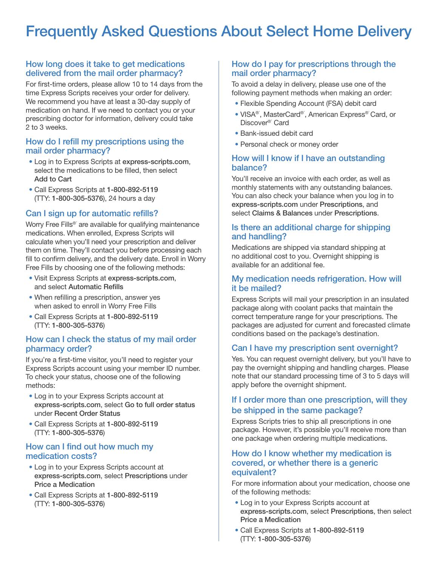# Frequently Asked Questions About Select Home Delivery

#### How long does it take to get medications delivered from the mail order pharmacy?

For first-time orders, please allow 10 to 14 days from the time Express Scripts receives your order for delivery. We recommend you have at least a 30-day supply of medication on hand. If we need to contact you or your prescribing doctor for information, delivery could take 2 to 3 weeks.

#### How do I refill my prescriptions using the mail order pharmacy?

- Log in to Express Scripts at express-scripts.com, select the medications to be filled, then select Add to Cart
- Call Express Scripts at 1-800-892-5119 (TTY: 1-800-305-5376), 24 hours a day

# Can I sign up for automatic refills?

Worry Free Fills<sup>®</sup> are available for qualifying maintenance medications. When enrolled, Express Scripts will calculate when you'll need your prescription and deliver them on time. They'll contact you before processing each fill to confirm delivery, and the delivery date. Enroll in Worry Free Fills by choosing one of the following methods:

- Visit Express Scripts at express-scripts.com, and select Automatic Refills
- When refilling a prescription, answer yes when asked to enroll in Worry Free Fills
- Call Express Scripts at 1-800-892-5119 (TTY: 1-800-305-5376)

#### How can I check the status of my mail order pharmacy order?

If you're a first-time visitor, you'll need to register your Express Scripts account using your member ID number. To check your status, choose one of the following methods:

- Log in to your Express Scripts account at express-scripts.com, select Go to full order status under Recent Order Status
- Call Express Scripts at 1-800-892-5119 (TTY: 1-800-305-5376)

#### How can I find out how much my medication costs?

- Log in to your Express Scripts account at express-scripts.com, select Prescriptions under Price a Medication
- Call Express Scripts at 1-800-892-5119 (TTY: 1-800-305-5376)

# How do I pay for prescriptions through the mail order pharmacy?

To avoid a delay in delivery, please use one of the following payment methods when making an order:

- Flexible Spending Account (FSA) debit card
- VISA®´, MasterCard®´, American Express®´ Card, or Discover<sup>®</sup> Card
- Bank-issued debit card
- Personal check or money order

### How will I know if I have an outstanding balance?

You'll receive an invoice with each order, as well as monthly statements with any outstanding balances. You can also check your balance when you log in to express-scripts.com under Prescriptions, and select Claims & Balances under Prescriptions.

### Is there an additional charge for shipping and handling?

Medications are shipped via standard shipping at no additional cost to you. Overnight shipping is available for an additional fee.

#### My medication needs refrigeration. How will it be mailed?

Express Scripts will mail your prescription in an insulated package along with coolant packs that maintain the correct temperature range for your prescriptions. The packages are adjusted for current and forecasted climate conditions based on the package's destination.

# Can I have my prescription sent overnight?

Yes. You can request overnight delivery, but you'll have to pay the overnight shipping and handling charges. Please note that our standard processing time of 3 to 5 days will apply before the overnight shipment.

# If I order more than one prescription, will they be shipped in the same package?

Express Scripts tries to ship all prescriptions in one package. However, it's possible you'll receive more than one package when ordering multiple medications.

#### How do I know whether my medication is covered, or whether there is a generic equivalent?

For more information about your medication, choose one of the following methods:

- Log in to your Express Scripts account at express-scripts.com, select Prescriptions, then select Price a Medication
- Call Express Scripts at 1-800-892-5119 (TTY: 1-800-305-5376)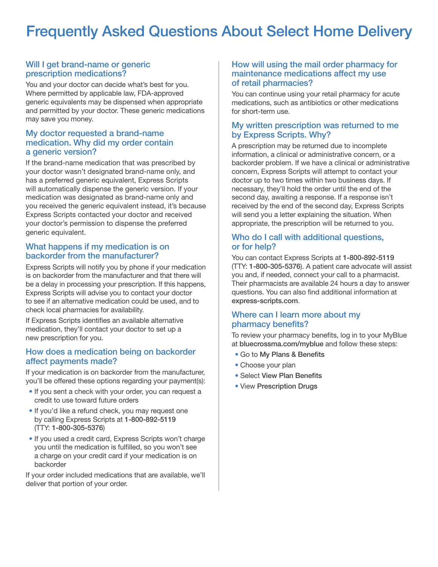# Frequently Asked Questions About Select Home Delivery

#### Will I get brand-name or generic prescription medications?

You and your doctor can decide what's best for you. Where permitted by applicable law, FDA-approved generic equivalents may be dispensed when appropriate and permitted by your doctor. These generic medications may save you money.

#### My doctor requested a brand-name medication. Why did my order contain a generic version?

If the brand-name medication that was prescribed by your doctor wasn't designated brand-name only, and has a preferred generic equivalent, Express Scripts will automatically dispense the generic version. If your medication was designated as brand-name only and you received the generic equivalent instead, it's because Express Scripts contacted your doctor and received your doctor's permission to dispense the preferred generic equivalent.

#### What happens if my medication is on backorder from the manufacturer?

Express Scripts will notify you by phone if your medication is on backorder from the manufacturer and that there will be a delay in processing your prescription. If this happens, Express Scripts will advise you to contact your doctor to see if an alternative medication could be used, and to check local pharmacies for availability.

If Express Scripts identifies an available alternative medication, they'll contact your doctor to set up a new prescription for you.

#### How does a medication being on backorder affect payments made?

If your medication is on backorder from the manufacturer, you'll be offered these options regarding your payment(s):

- If you sent a check with your order, you can request a credit to use toward future orders
- If you'd like a refund check, you may request one by calling Express Scripts at 1-800-892-5119 (TTY: 1-800-305-5376)
- If you used a credit card, Express Scripts won't charge you until the medication is fulfilled, so you won't see a charge on your credit card if your medication is on backorder

If your order included medications that are available, we'll deliver that portion of your order.

#### How will using the mail order pharmacy for maintenance medications affect my use of retail pharmacies?

You can continue using your retail pharmacy for acute medications, such as antibiotics or other medications for short-term use.

#### My written prescription was returned to me by Express Scripts. Why?

A prescription may be returned due to incomplete information, a clinical or administrative concern, or a backorder problem. If we have a clinical or administrative concern, Express Scripts will attempt to contact your doctor up to two times within two business days. If necessary, they'll hold the order until the end of the second day, awaiting a response. If a response isn't received by the end of the second day, Express Scripts will send you a letter explaining the situation. When appropriate, the prescription will be returned to you.

#### Who do I call with additional questions, or for help?

You can contact Express Scripts at 1-800-892-5119 (TTY: 1-800-305-5376). A patient care advocate will assist you and, if needed, connect your call to a pharmacist. Their pharmacists are available 24 hours a day to answer questions. You can also find additional information at express-scripts.com.

#### Where can I learn more about my pharmacy benefits?

To review your pharmacy benefits, log in to your MyBlue at bluecrossma.com/myblue and follow these steps:

- Go to My Plans & Benefits
- Choose your plan
- Select View Plan Benefits
- View Prescription Drugs